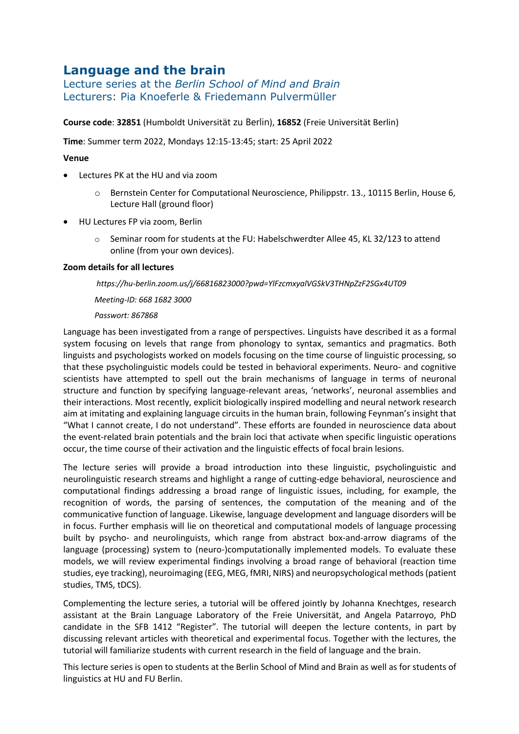# **Language and the brain**

Lecture series at the *Berlin School of Mind and Brain* Lecturers: Pia Knoeferle & Friedemann Pulvermüller

**Course code**: **32851** (Humboldt Universität zu Berlin), **16852** (Freie Universität Berlin)

**Time**: Summer term 2022, Mondays 12:15-13:45; start: 25 April 2022

## **Venue**

- Lectures PK at the HU and via zoom
	- o Bernstein Center for Computational Neuroscience, Philippstr. 13., 10115 Berlin, House 6, Lecture Hall (ground floor)
- HU Lectures FP via zoom, Berlin
	- o Seminar room for students at the FU: Habelschwerdter Allee 45, KL 32/123 to attend online (from your own devices).

### **Zoom details for all lectures**

### *https://hu-berlin.zoom.us/j/66816823000?pwd=YlFzcmxyalVGSkV3THNpZzF2SGx4UT09*

*Meeting-ID: 668 1682 3000*

### *Passwort: 867868*

Language has been investigated from a range of perspectives. Linguists have described it as a formal system focusing on levels that range from phonology to syntax, semantics and pragmatics. Both linguists and psychologists worked on models focusing on the time course of linguistic processing, so that these psycholinguistic models could be tested in behavioral experiments. Neuro- and cognitive scientists have attempted to spell out the brain mechanisms of language in terms of neuronal structure and function by specifying language-relevant areas, 'networks', neuronal assemblies and their interactions. Most recently, explicit biologically inspired modelling and neural network research aim at imitating and explaining language circuits in the human brain, following Feynman's insight that "What I cannot create, I do not understand". These efforts are founded in neuroscience data about the event-related brain potentials and the brain loci that activate when specific linguistic operations occur, the time course of their activation and the linguistic effects of focal brain lesions.

The lecture series will provide a broad introduction into these linguistic, psycholinguistic and neurolinguistic research streams and highlight a range of cutting-edge behavioral, neuroscience and computational findings addressing a broad range of linguistic issues, including, for example, the recognition of words, the parsing of sentences, the computation of the meaning and of the communicative function of language. Likewise, language development and language disorders will be in focus. Further emphasis will lie on theoretical and computational models of language processing built by psycho- and neurolinguists, which range from abstract box-and-arrow diagrams of the language (processing) system to (neuro-)computationally implemented models. To evaluate these models, we will review experimental findings involving a broad range of behavioral (reaction time studies, eye tracking), neuroimaging (EEG, MEG, fMRI, NIRS) and neuropsychological methods(patient studies, TMS, tDCS).

Complementing the lecture series, a tutorial will be offered jointly by Johanna Knechtges, research assistant at the Brain Language Laboratory of the Freie Universität, and Angela Patarroyo, PhD candidate in the SFB 1412 "Register". The tutorial will deepen the lecture contents, in part by discussing relevant articles with theoretical and experimental focus. Together with the lectures, the tutorial will familiarize students with current research in the field of language and the brain.

This lecture series is open to students at the Berlin School of Mind and Brain as well as for students of linguistics at HU and FU Berlin.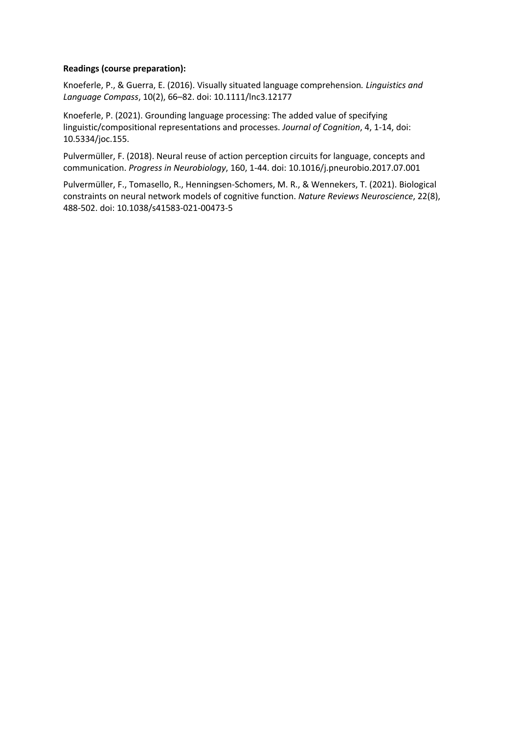## **Readings (course preparation):**

Knoeferle, P., & Guerra, E. (2016). Visually situated language comprehension*. Linguistics and Language Compass*, 10(2), 66–82. doi: 10.1111/lnc3.12177

Knoeferle, P. (2021). Grounding language processing: The added value of specifying linguistic/compositional representations and processes. *Journal of Cognition*, 4, 1-14, doi: 10.5334/joc.155.

Pulvermüller, F. (2018). Neural reuse of action perception circuits for language, concepts and communication. *Progress in Neurobiology*, 160, 1-44. doi: 10.1016/j.pneurobio.2017.07.001

Pulvermüller, F., Tomasello, R., Henningsen-Schomers, M. R., & Wennekers, T. (2021). Biological constraints on neural network models of cognitive function. *Nature Reviews Neuroscience*, 22(8), 488-502. doi: 10.1038/s41583-021-00473-5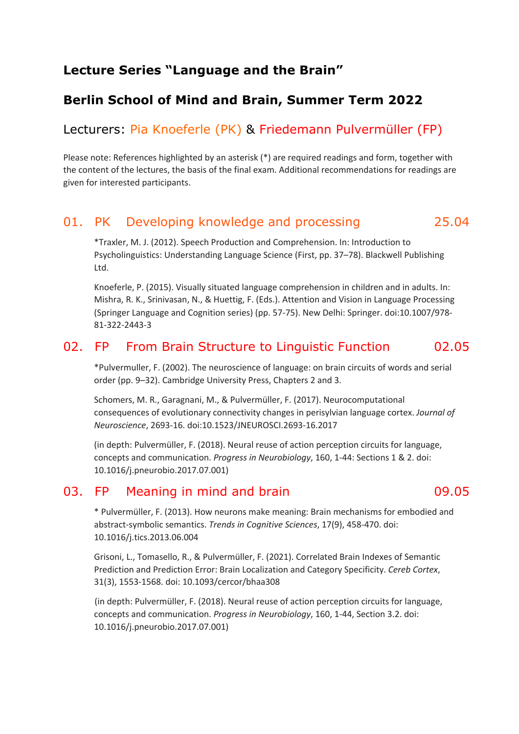# **Lecture Series "Language and the Brain"**

# **Berlin School of Mind and Brain, Summer Term 2022**

# Lecturers: Pia Knoeferle (PK) & Friedemann Pulvermüller (FP)

Please note: References highlighted by an asterisk (\*) are required readings and form, together with the content of the lectures, the basis of the final exam. Additional recommendations for readings are given for interested participants.

# 01. PK Developing knowledge and processing 25.04

\*Traxler, M. J. (2012). Speech Production and Comprehension. In: Introduction to Psycholinguistics: Understanding Language Science (First, pp. 37–78). Blackwell Publishing Ltd.

Knoeferle, P. (2015). Visually situated language comprehension in children and in adults. In: Mishra, R. K., Srinivasan, N., & Huettig, F. (Eds.). Attention and Vision in Language Processing (Springer Language and Cognition series) (pp. 57-75). New Delhi: Springer. doi:10.1007/978- 81-322-2443-3

# 02. FP From Brain Structure to Linguistic Function 02.05

\*Pulvermuller, F. (2002). The neuroscience of language: on brain circuits of words and serial order (pp. 9–32). Cambridge University Press, Chapters 2 and 3.

Schomers, M. R., Garagnani, M., & Pulvermüller, F. (2017). Neurocomputational consequences of evolutionary connectivity changes in perisylvian language cortex. *Journal of Neuroscience*, 2693-16. doi:10.1523/JNEUROSCI.2693-16.2017

(in depth: Pulvermüller, F. (2018). Neural reuse of action perception circuits for language, concepts and communication. *Progress in Neurobiology*, 160, 1-44: Sections 1 & 2. doi: 10.1016/j.pneurobio.2017.07.001)

## 03. FP Meaning in mind and brain measure of the 09.05

\* Pulvermüller, F. (2013). How neurons make meaning: Brain mechanisms for embodied and abstract-symbolic semantics. *Trends in Cognitive Sciences*, 17(9), 458-470. doi: 10.1016/j.tics.2013.06.004

Grisoni, L., Tomasello, R., & Pulvermüller, F. (2021). Correlated Brain Indexes of Semantic Prediction and Prediction Error: Brain Localization and Category Specificity. *Cereb Cortex*, 31(3), 1553-1568. doi: 10.1093/cercor/bhaa308

(in depth: Pulvermüller, F. (2018). Neural reuse of action perception circuits for language, concepts and communication. *Progress in Neurobiology*, 160, 1-44, Section 3.2. doi: 10.1016/j.pneurobio.2017.07.001)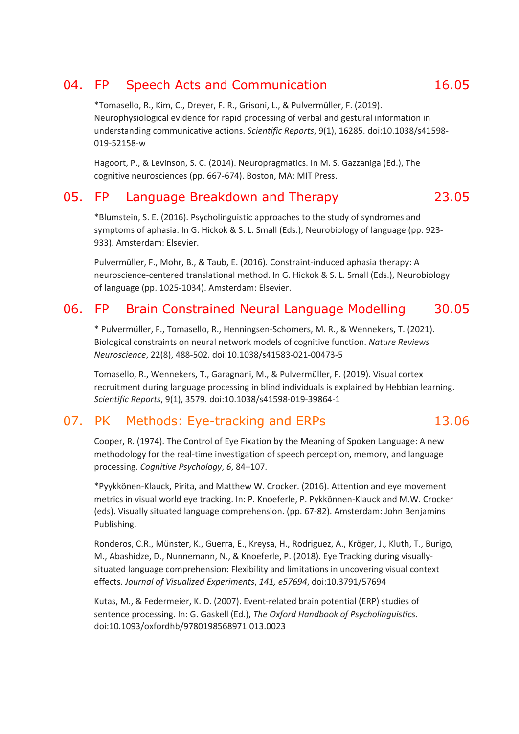# 04. FP Speech Acts and Communication 16.05

\*Tomasello, R., Kim, C., Dreyer, F. R., Grisoni, L., & Pulvermüller, F. (2019). Neurophysiological evidence for rapid processing of verbal and gestural information in understanding communicative actions. *Scientific Reports*, 9(1), 16285. doi:10.1038/s41598- 019-52158-w

Hagoort, P., & Levinson, S. C. (2014). Neuropragmatics. In M. S. Gazzaniga (Ed.), The cognitive neurosciences (pp. 667-674). Boston, MA: MIT Press.

## 05. FP Language Breakdown and Therapy 23.05

\*Blumstein, S. E. (2016). Psycholinguistic approaches to the study of syndromes and symptoms of aphasia. In G. Hickok & S. L. Small (Eds.), Neurobiology of language (pp. 923- 933). Amsterdam: Elsevier.

Pulvermüller, F., Mohr, B., & Taub, E. (2016). Constraint-induced aphasia therapy: A neuroscience-centered translational method. In G. Hickok & S. L. Small (Eds.), Neurobiology of language (pp. 1025-1034). Amsterdam: Elsevier.

# 06. FP Brain Constrained Neural Language Modelling 30.05

\* Pulvermüller, F., Tomasello, R., Henningsen-Schomers, M. R., & Wennekers, T. (2021). Biological constraints on neural network models of cognitive function. *Nature Reviews Neuroscience*, 22(8), 488-502. doi:10.1038/s41583-021-00473-5

Tomasello, R., Wennekers, T., Garagnani, M., & Pulvermüller, F. (2019). Visual cortex recruitment during language processing in blind individuals is explained by Hebbian learning. *Scientific Reports*, 9(1), 3579. doi:10.1038/s41598-019-39864-1

# 07. PK Methods: Eye-tracking and ERPs 13.06

Cooper, R. (1974). The Control of Eye Fixation by the Meaning of Spoken Language: A new methodology for the real-time investigation of speech perception, memory, and language processing. *Cognitive Psychology*, *6*, 84–107.

\*Pyykkönen-Klauck, Pirita, and Matthew W. Crocker. (2016). Attention and eye movement metrics in visual world eye tracking. In: P. Knoeferle, P. Pykkönnen-Klauck and M.W. Crocker (eds). Visually situated language comprehension. (pp. 67-82). Amsterdam: John Benjamins Publishing.

Ronderos, C.R., Münster, K., Guerra, E., Kreysa, H., Rodriguez, A., Kröger, J., Kluth, T., Burigo, M., Abashidze, D., Nunnemann, N., & Knoeferle, P. (2018). Eye Tracking during visuallysituated language comprehension: Flexibility and limitations in uncovering visual context effects. *Journal of Visualized Experiments*, *141, e57694*, doi:10.3791/57694

Kutas, M., & Federmeier, K. D. (2007). Event-related brain potential (ERP) studies of sentence processing. In: G. Gaskell (Ed.), *The Oxford Handbook of Psycholinguistics*. doi:10.1093/oxfordhb/9780198568971.013.0023